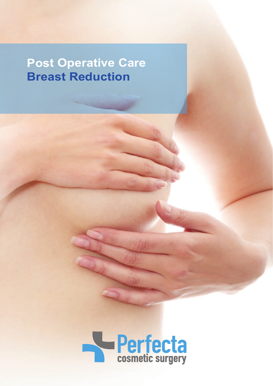# **Post Operative Care Breast Reduction**

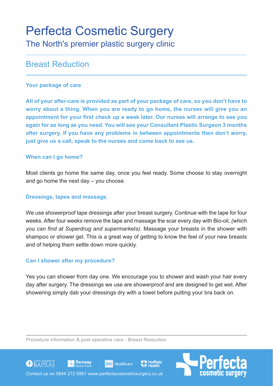## Perfecta Cosmetic Surgery The North's premier plastic surgery clinic

### Breast Reduction

#### **Your package of care**

**All of your after-care is provided as part of your package of care, so you don't have to worry about a thing. When you are ready to go home, the nurses will give you an appointment for your first check up a week later. Our nurses will arrange to see you again for as long as you need. You will see your Consultant Plastic Surgeon 3 months after surgery. If you have any problems in between appointments then don't worry, just give us a call, speak to the nurses and come back to see us.**

#### **When can I go home?**

Most clients go home the same day, once you feel ready. Some choose to stay overnight and go home the next day – you choose.

#### **Dressings, tapes and massage.**

We use showerproof tape dressings after your breast surgery. Continue with the tape for four weeks. After four weeks remove the tape and massage the scar every day with Bio-oil, *(which you can find at Superdrug and supermarkets)*. Massage your breasts in the shower with shampoo or shower gel. This is a great way of getting to know the feel of your new breasts and of helping them settle down more quickly.

#### **Can I shower after my procedure?**

Yes you can shower from day one. We encourage you to shower and wash your hair every day after surgery. The dressings we use are showerproof and are designed to get wet. After showering simply dab your dressings dry with a towel before putting your bra back on.

**Nuffield** 

Procedure information & post operative care - Breast Reduction.

Contact us on 0844 272 5951 www.perfectacosmeticsurgery.co.uk

**BMI** Healthcare

<u>■</u> Ramsay

**CO** BAPRAS